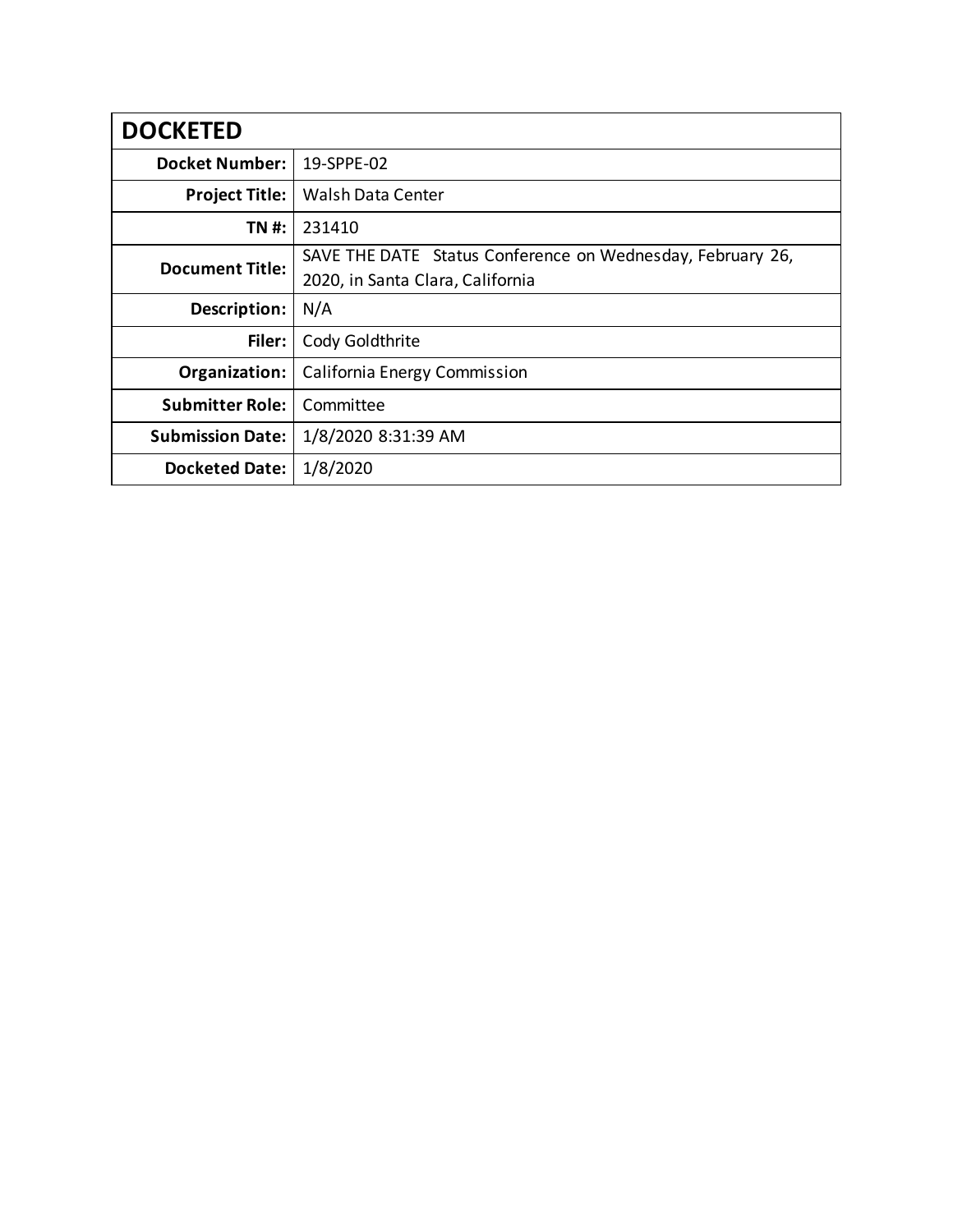| <b>DOCKETED</b>         |                                                            |
|-------------------------|------------------------------------------------------------|
| <b>Docket Number:</b>   | 19-SPPE-02                                                 |
| <b>Project Title:</b>   | Walsh Data Center                                          |
| TN #:                   | 231410                                                     |
| <b>Document Title:</b>  | SAVE THE DATE Status Conference on Wednesday, February 26, |
|                         | 2020, in Santa Clara, California                           |
| Description:            | N/A                                                        |
| Filer:                  | Cody Goldthrite                                            |
| Organization:           | California Energy Commission                               |
| <b>Submitter Role:</b>  | Committee                                                  |
| <b>Submission Date:</b> | 1/8/2020 8:31:39 AM                                        |
| <b>Docketed Date:</b>   | 1/8/2020                                                   |